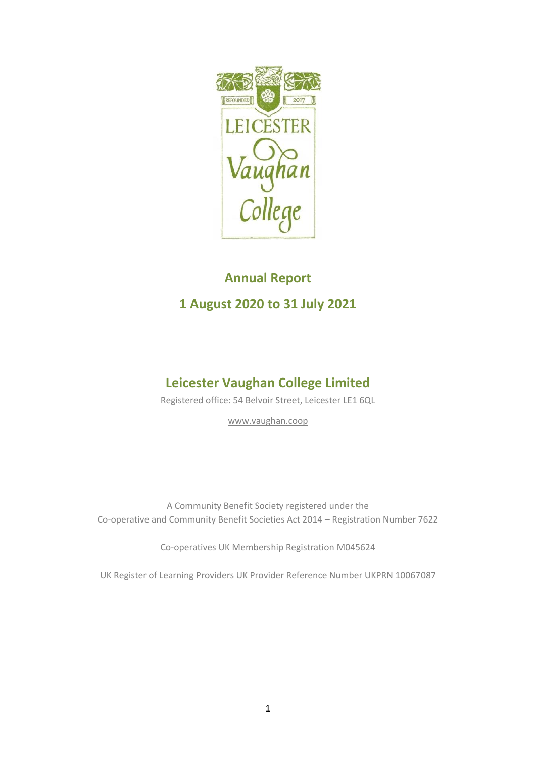

# **Annual Report 1 August 2020 to 31 July 2021**

## **Leicester Vaughan College Limited**

Registered office: 54 Belvoir Street, Leicester LE1 6QL

[www.vaughan.coop](about:blank)

A Community Benefit Society registered under the Co-operative and Community Benefit Societies Act 2014 – Registration Number 7622

Co-operatives UK Membership Registration M045624

UK Register of Learning Providers UK Provider Reference Number UKPRN 10067087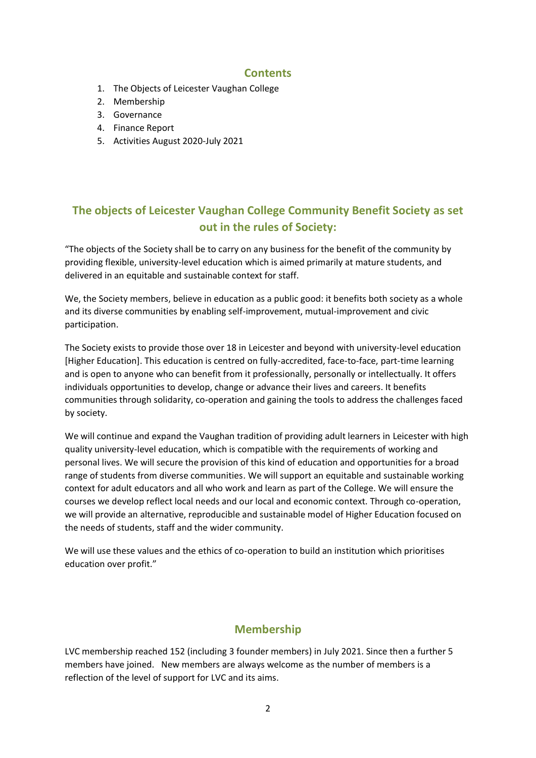## **Contents**

- 1. The Objects of Leicester Vaughan College
- 2. Membership
- 3. Governance
- 4. Finance Report
- 5. Activities August 2020-July 2021

## **The objects of Leicester Vaughan College Community Benefit Society as set out in the rules of Society:**

"The objects of the Society shall be to carry on any business for the benefit of the community by providing flexible, university-level education which is aimed primarily at mature students, and delivered in an equitable and sustainable context for staff.

We, the Society members, believe in education as a public good: it benefits both society as a whole and its diverse communities by enabling self-improvement, mutual-improvement and civic participation.

The Society exists to provide those over 18 in Leicester and beyond with university-level education [Higher Education]. This education is centred on fully-accredited, face-to-face, part-time learning and is open to anyone who can benefit from it professionally, personally or intellectually. It offers individuals opportunities to develop, change or advance their lives and careers. It benefits communities through solidarity, co-operation and gaining the tools to address the challenges faced by society.

We will continue and expand the Vaughan tradition of providing adult learners in Leicester with high quality university-level education, which is compatible with the requirements of working and personal lives. We will secure the provision of this kind of education and opportunities for a broad range of students from diverse communities. We will support an equitable and sustainable working context for adult educators and all who work and learn as part of the College. We will ensure the courses we develop reflect local needs and our local and economic context. Through co-operation, we will provide an alternative, reproducible and sustainable model of Higher Education focused on the needs of students, staff and the wider community.

We will use these values and the ethics of co-operation to build an institution which prioritises education over profit."

## **Membership**

LVC membership reached 152 (including 3 founder members) in July 2021. Since then a further 5 members have joined. New members are always welcome as the number of members is a reflection of the level of support for LVC and its aims.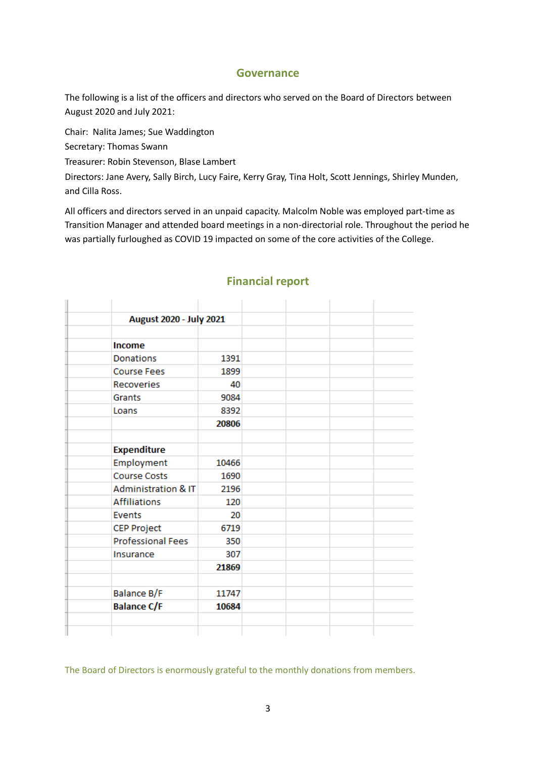## **Governance**

The following is a list of the officers and directors who served on the Board of Directors between August 2020 and July 2021:

Chair: Nalita James; Sue Waddington

Secretary: Thomas Swann

Treasurer: Robin Stevenson, Blase Lambert

Directors: Jane Avery, Sally Birch, Lucy Faire, Kerry Gray, Tina Holt, Scott Jennings, Shirley Munden, and Cilla Ross.

All officers and directors served in an unpaid capacity. Malcolm Noble was employed part-time as Transition Manager and attended board meetings in a non-directorial role. Throughout the period he was partially furloughed as COVID 19 impacted on some of the core activities of the College.

| August 2020 - July 2021        |       |  |  |
|--------------------------------|-------|--|--|
| Income                         |       |  |  |
| Donations                      | 1391  |  |  |
| <b>Course Fees</b>             | 1899  |  |  |
| <b>Recoveries</b>              | 40    |  |  |
| Grants                         | 9084  |  |  |
| Loans                          | 8392  |  |  |
|                                | 20806 |  |  |
|                                |       |  |  |
| <b>Expenditure</b>             |       |  |  |
| Employment                     | 10466 |  |  |
| <b>Course Costs</b>            | 1690  |  |  |
| <b>Administration &amp; IT</b> | 2196  |  |  |
| <b>Affiliations</b>            | 120   |  |  |
| <b>Events</b>                  | 20    |  |  |
| <b>CEP Project</b>             | 6719  |  |  |
| <b>Professional Fees</b>       | 350   |  |  |
| Insurance                      | 307   |  |  |
|                                | 21869 |  |  |
|                                |       |  |  |
| Balance B/F                    | 11747 |  |  |
| <b>Balance C/F</b>             | 10684 |  |  |

## **Financial report**

The Board of Directors is enormously grateful to the monthly donations from members.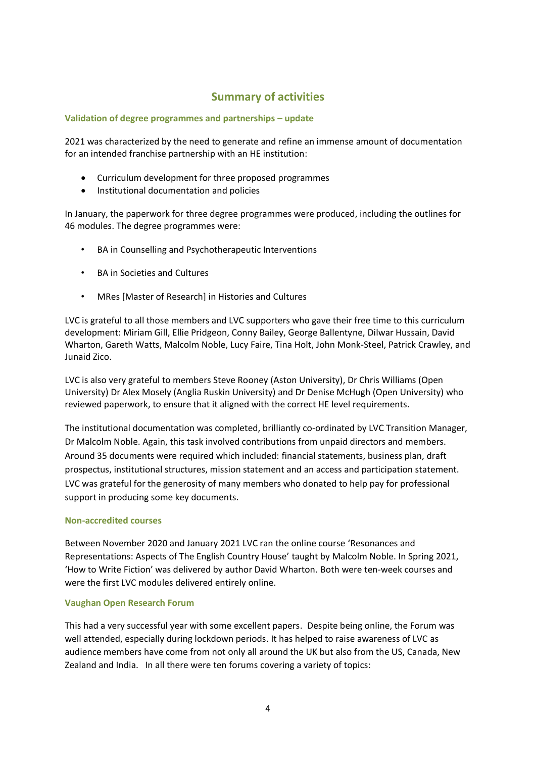## **Summary of activities**

#### **Validation of degree programmes and partnerships – update**

2021 was characterized by the need to generate and refine an immense amount of documentation for an intended franchise partnership with an HE institution:

- Curriculum development for three proposed programmes
- Institutional documentation and policies

In January, the paperwork for three degree programmes were produced, including the outlines for 46 modules. The degree programmes were:

- BA in Counselling and Psychotherapeutic Interventions
- BA in Societies and Cultures
- MRes [Master of Research] in Histories and Cultures

LVC is grateful to all those members and LVC supporters who gave their free time to this curriculum development: Miriam Gill, Ellie Pridgeon, Conny Bailey, George Ballentyne, Dilwar Hussain, David Wharton, Gareth Watts, Malcolm Noble, Lucy Faire, Tina Holt, John Monk-Steel, Patrick Crawley, and Junaid Zico.

LVC is also very grateful to members Steve Rooney (Aston University), Dr Chris Williams (Open University) Dr Alex Mosely (Anglia Ruskin University) and Dr Denise McHugh (Open University) who reviewed paperwork, to ensure that it aligned with the correct HE level requirements.

The institutional documentation was completed, brilliantly co-ordinated by LVC Transition Manager, Dr Malcolm Noble. Again, this task involved contributions from unpaid directors and members. Around 35 documents were required which included: financial statements, business plan, draft prospectus, institutional structures, mission statement and an access and participation statement. LVC was grateful for the generosity of many members who donated to help pay for professional support in producing some key documents.

#### **Non-accredited courses**

Between November 2020 and January 2021 LVC ran the online course 'Resonances and Representations: Aspects of The English Country House' taught by Malcolm Noble. In Spring 2021, 'How to Write Fiction' was delivered by author David Wharton. Both were ten-week courses and were the first LVC modules delivered entirely online.

#### **Vaughan Open Research Forum**

This had a very successful year with some excellent papers. Despite being online, the Forum was well attended, especially during lockdown periods. It has helped to raise awareness of LVC as audience members have come from not only all around the UK but also from the US, Canada, New Zealand and India. In all there were ten forums covering a variety of topics: